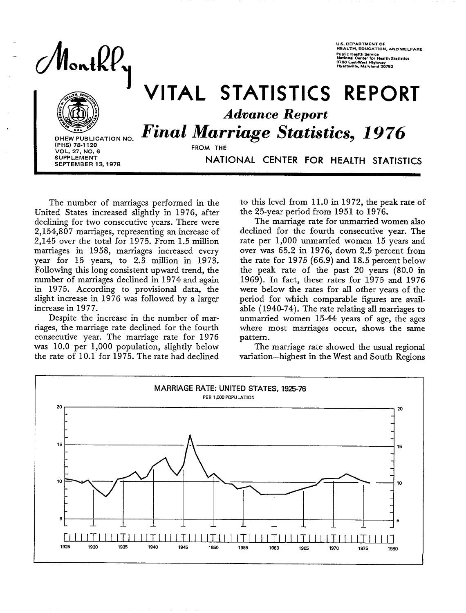$\mathsf{lonk}\mathcal{U}$ 



**SEPTEMBER 13, 1978** 

**I** 

# **J VITAL STATISTICS** REPORT *Advance Report*  **DHEW PUBLICATION NO.** Final Marriage Statistics, 1976

**(PHS) 78-1120 FROM THE VOL. 27, NO. 6** 

SUPPLEMENT **NATIONAL CENTER FOR HEALTH STATISTICS** 

The number of marriages performed in the United States increased slightly in 1976, after declining for two consecutive years. There were 2,154,807 marriages, representing an increase of 2,145 over the total for 1975. From 1.5 million marriages in 1958, marriages increased every year for 15 years, to 2.3 million in 1973. Following this long consistent upward trend, the number of marriages declined in 1974 and again in 1975. According to provisional data, the slight increase in 1976 was followed by a larger increase in 1977.

Despite the increase in the number of marriages, the marriage rate declined for the fourth consecutive year. The marriage rate for 1976 was 10.0 per 1,000 population, sIightly below the rate of 10.1 for 1975. The rate had declined to this level from 11.0 in 1972, the peak rate of the 25-year period from 1951 to 1976.

US. DEPARTMENT OF

HEALTH. EDUCATION, AND wELFARE Public Health Service<br>National Center for Health Statistics<br>3700 East-West Highway<br>Hyattsville, Maryland 20782

The marriage rate for unmarried women also declined for the fourth consecutive year. The rate per 1,000 unmarried women 15 years and over *was* 65.2 in 1976, down 2.5 percent from the rate for 1975 (66.9) and 18.5 percent below the peak rate of the past 20 years (80.0 in 1969). In fact, these rates for 1975 and 1976 were below the rates for all other years of the period for which comparable figures are availabIe (1940-74). The rate relating all marriages to unmarried women 15-44 years of age, the ages where most marriages occur, shows the same pattern.

The marriage rate showed the usual regional variation-highest in the West and South Regions

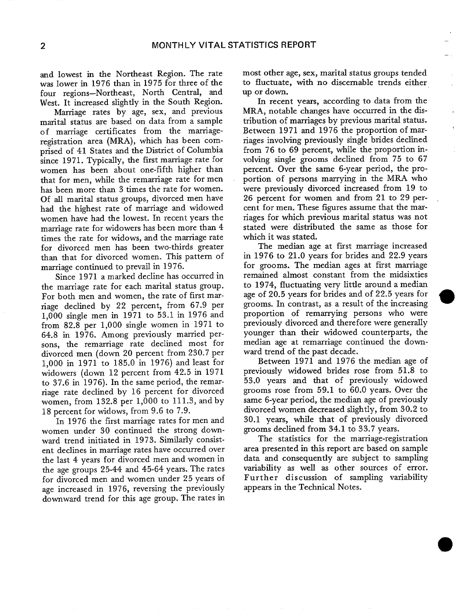and lowest in the Northeast Region. The rate was Iower in 1976 than in 1975 for three of the four regions-Northeast, North Central, and West. It increased slightly in the South Region.

Marriage rates by age, sex, and previous marital status are based on data from a sample of marriage certificates from the **marriage**registration area (MRA), which has been comprised of 41 States and the District of Columbia since 1971. Typically, the first marriage rate for women has been about one-fifth higher than that for men, while the remarriage rate for men has been more than 3 times the rate for women. Of all marital status groups, divorced men have had the highest rate of marriage and widowed women have had the lowest. In recent years the marriage rate for widowers has been more than 4 times the rate for widows, and the marriage rate for divorced men has been two-thirds greater than that for divorced women. This pattern of marriage continued to prevail in 1976.

Since 1971 a marked decline has occurred in the marriage rate for each marital status group. For both men and women, the rate of first marriage declined by 22 percent, from 67.9 per 1,000 single men in 1971 to 53.1 in 1976 and from 82.8 per 1,000 single women in 1971 to 64.8 in 1976. Among previously married persons, the remarriage rate declined most for divorced men (down 20 percent from 230.7 per 1,000 in 1971 to 185.0 in 1976) and least for widowers (down 12 percent from 42.5 in 1971 to 37.6 in 1976). In the same period, the remarriage rate declined by 16 percent for divorced women, from 132.8 per 1,000 to 111.3, and by 18 percent for widows, from 9.6 to 7.9.

In 1976 the first marriage rates for men and women under 30 continued the strong downward trend initiated in 1973. Similarly consistent declines in marriage rates have occurred over the last 4 years for divorced men and women in the age groups 25-44 and 45-64 years. The rates for divorced men and women under 25 years of age increased in 1976, reversing the previously downward trend for this age group. The rates in most other age, sex, marital status groups tended to fluctuate, with no discemable trends either up or down.

 $-$  :

In recent years, according to data from the MRA, notable changes have occurred in the distribution of marriages by previous marital status. Between 1971 and 1976 the proportion of marriages involving previously single brides declined from 76 to 69 percent, while the proportion involving single grooms declined from 75 to 67 percent. Over the same 6-year period, the proportion of persons marrying in the MRA who were previously divorced increased from 19 to 26 percent for women and from **21** to **29 per**cent for men. These figures assume that the martiages for which previous marital status was not stated were distributed the same as those for which it was stated.

The median age at first marriage increased in 1976 to 21.0 years for brides and 22.9 years for grooms. The median ages at first marriage remained almost constant from the midsixties to 1974, fluctuating very little around a median age of 20.5 years for brides and of 22.5 years for grooms. In contrast, as a result of the increasing \* proportion of remarrying persons who were previously divorced and therefore were generally younger than their widowed counterparts, the median age at remarriage continued the downward trend of the past decade.

Between 1971 and 1976 the median age of previously widowed brides rose from 51.8 to 53.0 years and that of previously widowed grooms rose from 59.1 to 60.0 years. Over the same 6-year period, the median age of previously divorced women decreased slightly, from 30.2 to 30.1 years, while that of previously divorced grooms declined from 34.1 to 33.7 years.

The statistics for the marriage-registration area presented in this report are based on sample data and consequently are subject to sampling variability as well as other sources of error. Further discussion of sampling variability appears in the Technical Notes.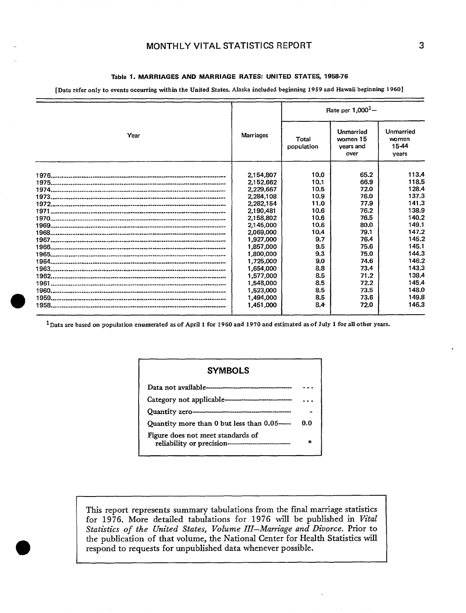### **MONTHLY VITAL STATISTICS REPORT**

### **Table 1. MARRIAGES** AND MARRIAGE RATES: UNITED STATES, 1958-76

[Data refer only to events occurring within the United States. Alaska included beginning 1959 and Hawaii beginning 1960]

|      |                  | Rate per $1.0001$ - |                                            |                                      |  |  |
|------|------------------|---------------------|--------------------------------------------|--------------------------------------|--|--|
| Year | <b>Marriages</b> | Total<br>population | Unmarried<br>women 15<br>years and<br>over | Unmarried<br>women<br>15-44<br>vears |  |  |
|      | 2,154,807        | 10.0                | 65.2                                       | 113.4                                |  |  |
|      | 2,152,662        | 10.1                | 66.9                                       | 118.5                                |  |  |
|      | 2,229,667        | 10.5                | 72.0                                       | 128.4                                |  |  |
|      | 2,284,108        | 10.9                | 76.0                                       | 137.3                                |  |  |
|      | 2,282,154        | 11.0                | 77.9                                       | 141.3                                |  |  |
|      | 2,190,481        | 10.6                | 76.2                                       | 138.9                                |  |  |
|      | 2,158,802        | 10.6                | 76.5                                       | 140.2                                |  |  |
|      | 2.145,000        | 10.6                | 80.0                                       | 149.1                                |  |  |
|      | 2.069,000        | 10.4                | 79.1                                       | 147.2                                |  |  |
|      | 1,927,000        | 9.7                 | 76.4                                       | 145.2                                |  |  |
|      | 1,857,000        | 9.5                 | 75.6                                       | 145.1                                |  |  |
|      | 1.800.000        | 9.3                 | 75.0                                       | 144.3                                |  |  |
|      | 1.725.000        | 9.0                 | 74.6                                       | 146.2                                |  |  |
|      | 1,654,000        | 8.8                 | 73.4                                       | 143.3                                |  |  |
|      | 1,577,000        | 8.5                 | 71.2                                       | 138.4                                |  |  |
|      | 1,548,000        | 8.5                 | 72.2                                       | 145.4                                |  |  |
|      | 1,523,000        | 8.5                 | 73.5                                       | 148.0                                |  |  |
|      | 1,494,000        | 8.5                 | 73.6                                       | 149.8                                |  |  |
|      | 1,451,000        | 8.4                 | 72.0                                       | 146.3                                |  |  |
|      |                  |                     |                                            |                                      |  |  |

<sup>1</sup> Data are based on population enumerated as of April 1 for 1960 and 1970 and estimated as of July 1 for all other years.

| <b>SYMBOLS</b>                              |     |
|---------------------------------------------|-----|
|                                             |     |
| Category not applicable———————————————————— |     |
|                                             |     |
| Quantity more than 0 but less than 0.05-    | ი ი |
| Figure does not meet standards of           | ÷   |

This report represents summary tabulations from the final marriage statistics for 1976. More detaiIed tabulations for 1976 will be published in Vital *Statistics of the United States, Volume 111–Mam"age and Divorce.* Prior to the publication of that volume, the National Center for Health Statistics will respond to requests for unpublished data whenever possible.

 $\overline{\phantom{a}}$  1  $\overline{\phantom{a}}$  1  $\overline{\phantom{a}}$  1  $\overline{\phantom{a}}$  1  $\overline{\phantom{a}}$  1  $\overline{\phantom{a}}$  1  $\overline{\phantom{a}}$  1  $\overline{\phantom{a}}$  1  $\overline{\phantom{a}}$  1  $\overline{\phantom{a}}$  1  $\overline{\phantom{a}}$  1  $\overline{\phantom{a}}$  1  $\overline{\phantom{a}}$  1  $\overline{\phantom{a}}$  1  $\overline{\phantom{a}}$  1  $\overline{\phantom{a}}$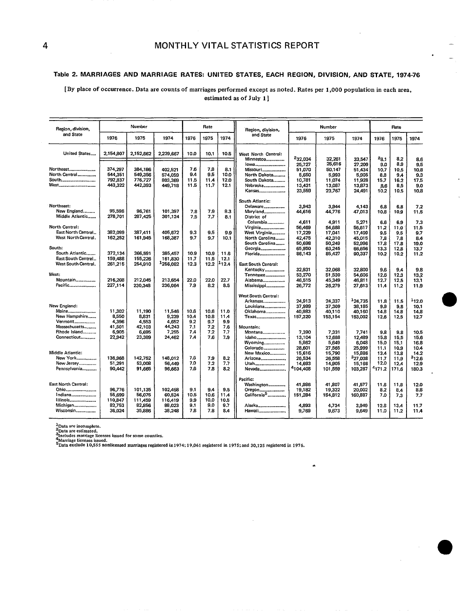#### Table 2. MARRIAGES AND MARRIAGE RATES: UNITED STATES, EACH REGION, DIVISION, AND STATE, 1974-76

### [By **place of occurrence. Data are counts of marriages performed except as noted. Rates per 1,000 population in each area, estimated as of July** 1]

| Region, division,                                                                  |                                                 | Number                                           | Rate                                             |                                   |                                   |                                   | Region, division,                                                                                |                                                                     | Number                                                             |                                                                     |                                                        | <b>Rate</b>                                           |                                                                    |
|------------------------------------------------------------------------------------|-------------------------------------------------|--------------------------------------------------|--------------------------------------------------|-----------------------------------|-----------------------------------|-----------------------------------|--------------------------------------------------------------------------------------------------|---------------------------------------------------------------------|--------------------------------------------------------------------|---------------------------------------------------------------------|--------------------------------------------------------|-------------------------------------------------------|--------------------------------------------------------------------|
| and State                                                                          | 1976                                            | 1975                                             | 1974                                             | 1976                              | 1975                              | 1974                              | and State                                                                                        | 1976                                                                | 1975                                                               | 1974                                                                | 1976                                                   | 1975                                                  | 1974                                                               |
| United States                                                                      | 2,154,807                                       | 2,152,662                                        | 2,229,667                                        | 10.0                              | 10.1                              | 10.5                              | West North Central:<br>Minnestoa                                                                 | 232,034                                                             | 32,261                                                             | 33.547                                                              | $^{25.1}$                                              | 8.2                                                   | 8.6                                                                |
| Northeast<br>North Central<br>South<br>West                                        | 374,297<br>544,351<br>792,837<br>443,322        | 384,186<br>549,356<br>776,727<br>442,393         | 402,521<br>574.059<br>803,369<br>449,718         | 7.6<br>9.4<br>11,5<br>11.5        | 7,8<br>9.5<br>11.4<br>11.7        | 8.1<br>10.0<br>12.0<br>12.1       | lowa<br>Missouri<br>North Dakota<br>South Dakota<br>Nebraska<br>Kansas                           | 25,727<br>51,070<br>5,650<br>10,781<br>13,431<br>23,559             | 25,616<br>50,147<br>5,993<br>11.074<br>13,087<br>23,767            | 27,209<br>51,434<br>5,905<br>11,928<br>13,873<br>24,491             | 9.0<br>10.7<br>8.8<br>15,7<br>8.6<br>10.2              | 8.9<br>10,5<br>9.4<br>16.2<br>8.5<br>10,5             | 9.5<br>10.8<br>9.3<br>17.5<br>9.0<br>10.8                          |
| Northeast:<br>New England<br>Middle Atlantic                                       | 95,596<br>278,701                               | 96,761<br>287,425                                | 101,397<br>301,124                               | 7,8<br>7.5                        | 7.9<br>7.7                        | 8.3<br>8.1                        | <b>South Atlantic:</b><br>Delaware<br>Maryland<br>District of<br>Columbia                        | 3,943<br>44,616<br>4,611                                            | 3,944<br>44,776<br>4,911                                           | 4,143<br>47,013<br>5,271                                            | 6.8<br>10.8<br>6.6                                     | 6.8<br>10,9<br>6.9                                    | 7.2<br>11.5<br>7.3                                                 |
| North Central:<br>East North Central<br>West North Central.                        | 382,099<br>162,252                              | 387,411<br>161,945                               | 405,672<br>168,387                               | 9.3<br>9.7                        | 9.5<br>9.7                        | 9.9<br>10,1                       | Virginia<br>West Virginia<br>North Carolina<br>South Carolina                                    | 56,469<br>17,229<br>42,475<br>50,698                                | 54,688<br>17,041<br>42,310<br>50,249                               | 56,617<br>17,409<br>45,015<br>52,996                                | 11.2<br>9.5<br>7,8<br>17.8                             | 11.0<br>9.5<br>7.8<br>17,8                            | 11.5<br>9.7<br>8.4<br>19.0                                         |
| South:<br>South Atlantic<br>East South Central<br>West South Central.              | 372,134<br>159,488<br>261,215                   | 366,591<br>155,226<br>254,910                    | 385,457<br>161,830<br>1256,082                   | 10.9<br>11.7<br>12.3              | 10.9<br>11.5<br>12.2              | 11.6<br>12.1<br>-12.4             | Georgia<br>Florida<br>East South Central:<br>Kentucky                                            | 65,950<br>86,143<br>32.931                                          | 63,245<br>85,427<br>32,068                                         | 66,656<br>90,337<br>32,800                                          | 13.3<br>10.2<br>9.6                                    | 12,8<br>10.2<br>9.4                                   | 13.7<br>11,2<br>9.8                                                |
| West:<br>Mountain<br>Pacific                                                       | 216,208<br>227,114                              | 212,045<br>230,348                               | 213,654<br>236,064                               | 22.0<br>7.9                       | 22.0<br>8.2                       | 22.7<br>8.5                       | Tennessee<br>Alabama<br>Mississippi                                                              | 53.270<br>46,515<br>26,772                                          | 51,530<br>45,349<br>26,279                                         | 54,606<br>46,811<br>27,613                                          | 12.6<br>12.7<br>11,4                                   | 12.3<br>12,5<br>11,2                                  | 13.2<br>13.1<br>11.9                                               |
| New England:<br>Maine<br>New Hampshire<br>Vermont<br>Massachusetts<br>Rhode Island | 11,302<br>8,550<br>4,396<br>41,501<br>6,905     | 11,190<br>8,831<br>4.553<br>42,103<br>6,695      | 11,546<br>9,239<br>4,652<br>44,243<br>7,255      | 10.6<br>10.4<br>9.2<br>7.1<br>7,4 | 10.6<br>10.8<br>9.7<br>7.2<br>7.2 | 11.0<br>11.4<br>9.9<br>7.6<br>7,7 | <b>West South Central:</b><br>Arkansas<br>Louisiana<br>Oklahoma<br>Texas<br>Mountain:<br>Montana | 24,913<br>37,999<br>40,983<br>157,320<br>7,390                      | 24,337<br>37,309<br>40,110<br>153,154<br>7.331                     | 124,735<br>38,185<br>40,160<br>153,002<br>7.741                     | 11.8<br>9,9<br>14.8<br>12.6<br>9.8                     | 11.5<br>9.8<br>14.8<br>12.5<br>9,8                    | 112.0<br>10.1<br>14.8<br>12.7<br>10.5                              |
| Connecticut<br>Middle Atlantic:<br>New York<br>New Jersey<br>Pennsylvania          | 22,942<br>136,968<br>51,291<br>90,442           | 23,389<br>142.752<br>53,008<br>91,665            | 24,462<br>148,012<br>56,449<br>96.663            | 7.4<br>7.6<br>7.0<br>7.6          | 7.6<br>7.9<br>7.2<br>7.8          | 7.9<br>8.2<br>7.7<br>8.2          | Idaho<br>Wyoming<br>Colorado<br>New Mexico<br>Arizona<br>Utah<br>Nevada                          | 13,104<br>5,862<br>28,601<br>15,616<br>26.534<br>14,693<br>4104,408 | 12,688<br>5,649<br>27,565<br>15,790<br>26,558<br>14,905<br>101,559 | 12,489<br>6,048<br>25,999<br>15,886<br>327,038<br>15,166<br>103,287 | 15.8<br>15.0<br>11.1<br>13.4<br>11.7<br>12.0<br>4171.2 | 15.5<br>15,1<br>10,9<br>13.8<br>11.9<br>12.4<br>171.6 | 15.6<br>16.8<br>10.4<br>14.2<br><sup>3</sup> 12.6<br>12.9<br>180.3 |
| East North Central:<br>Ohio<br>Indiana<br>Illinois<br>Michigan<br>Wisconsin        | 96,776<br>55,699<br>110,847<br>82,753<br>36,024 | 101,135<br>56,075<br>111,459<br>82,856<br>35,886 | 102,458<br>60,524<br>116,419<br>88,023<br>38,248 | 9.1<br>10.5<br>9.9<br>9.1<br>7.8  | 9.4<br>10.6<br>10.0<br>9.0<br>7.8 | 9.5<br>11.4<br>10.5<br>9.7<br>8.4 | Pacific:<br>Washington<br>Oregon<br>California <sup>5</sup><br>Alaska<br>Hawaii                  | 41,986<br>19,182<br>151,284<br>4,893<br>9,769                       | 41,807<br>19,322<br>154,812<br>4,734<br>9,673                      | 41.577<br>20,002<br>160,887<br>3,949<br>9,649                       | 11.6<br>8,2<br>7.0<br>12.8<br>11.0                     | 11.8<br>8,4<br>7.3<br>13.4<br>11.2                    | 12.0<br>8.8<br>7,7<br>11.7<br>11.4                                 |

.

 $\bullet$ 

<sup>4</sup>Data are incomplete.<br><sup>2</sup>Data are estimated.<br><sup>3</sup>Marriage licenses issued.<br><sup>4</sup>Marriage licenses issued.<br><sup>5</sup>Data exclude 10,555 nonlicensed marriages registered in 1974; 19,061 registered in 1975; and 30,125 registered in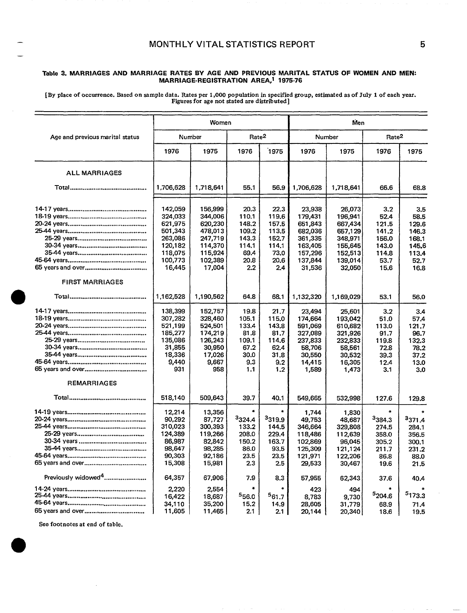### — **MONTHLY VITAL STATISTICS REPORT**

#### **Table 3. MARRIAGES AND MARRIAGE RATES BY AGE AND PREVIOUS MARITAL STATUS OF WOMEN AND MEN: MARRIAGE-REGISTRATION AREA,l 1975-76**

**[BY place of occurrence. Based on sample data. Rates per 1,000 population in specified group, estimated as of July 1 of each year. F~ures for age not stated are distributed]** 

|                                 |                                                                                                | Women                                                                                          |                                                                              |                                                                          | Men                                                                                           |                                                                                               |                                                                          |                                                                          |  |  |
|---------------------------------|------------------------------------------------------------------------------------------------|------------------------------------------------------------------------------------------------|------------------------------------------------------------------------------|--------------------------------------------------------------------------|-----------------------------------------------------------------------------------------------|-----------------------------------------------------------------------------------------------|--------------------------------------------------------------------------|--------------------------------------------------------------------------|--|--|
| Age and previous marital status |                                                                                                | Number                                                                                         | Rate <sup>2</sup>                                                            |                                                                          |                                                                                               | Number                                                                                        | Rate <sup>2</sup>                                                        |                                                                          |  |  |
|                                 | 1976                                                                                           | 1975                                                                                           | 1976                                                                         | 1975                                                                     | 1976                                                                                          | 1975                                                                                          | 1976                                                                     | 1975                                                                     |  |  |
| <b>ALL MARRIAGES</b>            |                                                                                                |                                                                                                |                                                                              |                                                                          |                                                                                               |                                                                                               |                                                                          |                                                                          |  |  |
|                                 | 1,706,628                                                                                      | 1,718,641                                                                                      | 55.1                                                                         | 56.9                                                                     | 1,706,628                                                                                     | 1,718,641                                                                                     | 66.6                                                                     | 68.8                                                                     |  |  |
| <b>FIRST MARRIAGES</b>          | 142,059<br>324,033<br>621,975<br>501,343<br>263,086<br>120,182<br>118,075<br>100,773<br>16,445 | 156,999<br>344,006<br>620,230<br>478,013<br>247,719<br>114,370<br>115,924<br>102,389<br>17,004 | 20.3<br>110.1<br>148.2<br>109.2<br>143.3<br>114.1<br>69.4<br>20.8<br>$2.2\,$ | 22.3<br>119.6<br>157.5<br>113.5<br>152.7<br>114.1<br>73.0<br>20.6<br>2.4 | 23,938<br>179,431<br>651,843<br>682,036<br>361,335<br>163,405<br>157,296<br>137,844<br>31,536 | 26,073<br>196,941<br>667,434<br>657,129<br>348,971<br>155,645<br>152,513<br>139,014<br>32,050 | 3.2<br>52.4<br>121.5<br>141.2<br>156.0<br>143.0<br>114.8<br>53.7<br>15.6 | 3.5<br>58.5<br>129.6<br>146.3<br>168.1<br>145.6<br>113.4<br>52.7<br>16.8 |  |  |
|                                 | 1,162,528                                                                                      | 1,190,562                                                                                      | 64.8                                                                         | 68.1                                                                     | 1,132,320                                                                                     | 1,169,029                                                                                     | 53.1                                                                     | 56.0                                                                     |  |  |
|                                 | 138,399<br>307,282<br>521,199<br>185,277<br>135,086<br>31,855<br>18.336<br>9,440<br>931        | 152,757<br>328,460<br>524,501<br>174,219<br>126,243<br>30,950<br>17,026<br>9,667<br>958        | 19.8<br>105.1<br>133.4<br>81.8<br>109.1<br>67.2<br>30.0<br>9.3<br>1.1        | 21.7<br>115.0<br>143,8<br>81.7<br>114.6<br>62.4<br>31.8<br>9.2<br>1.2    | 23,494<br>174,664<br>591,069<br>327,089<br>237,833<br>58,706<br>30,550<br>14,415<br>1,589     | 25,601<br>193,042<br>610,682<br>321,926<br>232,833<br>58,561<br>30,532<br>16,305<br>1,473     | 3.2<br>51.0<br>113.0<br>91.7<br>119.8<br>72.8<br>39.3<br>12.4<br>3.1     | 3.4<br>57.4<br>121.7<br>96.7<br>132.3<br>78.2<br>37.2<br>13.0<br>3.0     |  |  |
| <b>REMARRIAGES</b>              | 518,140                                                                                        | 509.643                                                                                        | 39.7                                                                         | 40.1                                                                     | 549,665                                                                                       | 532,998                                                                                       | 127.6                                                                    | 129.8                                                                    |  |  |
|                                 | 12,214<br>90,292<br>310,023<br>124,389<br>86,987<br>98.647<br>90,303<br>15,308                 | 13,356<br>87,727<br>300,393<br>119,266<br>82,842<br>98.285<br>92,186<br>15,981                 | 3324.4<br>133.2<br>208.0<br>150.2<br>86.0<br>23.5<br>2.3                     | <sup>3</sup> 319.9<br>144.5<br>229.4<br>163.7<br>93.5<br>23.5<br>2.5     | 1,744<br>49.753<br>346,664<br>118,486<br>102,869<br>125,309<br>121,971<br>29,533              | 1,830<br>48,687<br>329,808<br>112,639<br>96,045<br>121,124<br>122,206<br>30,467               | 3384.3<br>274.5<br>358.0<br>305.2<br>211.7<br>86.8<br>19.6               | <sup>3</sup> 371.4<br>284.1<br>356.5<br>300.1<br>231.2<br>88.0<br>21.5   |  |  |
| Previously widowed <sup>4</sup> | 64,357<br>2,220<br>16,422                                                                      | 67,906<br>2,554<br>18,687                                                                      | 7.9<br>556.0                                                                 | 8.3<br>¥<br>561.7                                                        | 57,955<br>423<br>8,783                                                                        | 62,343<br>494<br>9,730                                                                        | 37.6<br><sup>5</sup> 204.6                                               | 40.4<br>5173.3                                                           |  |  |
|                                 | 34,110<br>11,605                                                                               | 35,200<br>11,465                                                                               | 15.2<br>2.1                                                                  | 14.9<br>2.1                                                              | 28,605<br>20,144                                                                              | 31,779<br>20,340                                                                              | 68.9<br>18.6                                                             | 71.4<br>19.5                                                             |  |  |

**See footnotes at end of table.** 

 $\bullet$ 

—

 $\bullet$ 

5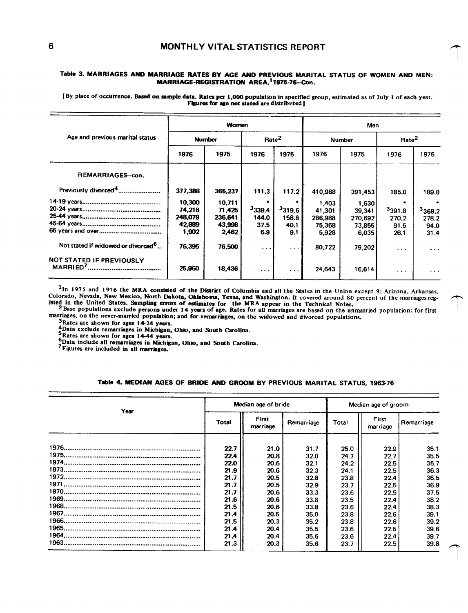#### Table 3. MARRIAGES ANO MARRIAGE RATES BY AGE AND PREVIOUS MARITAL STATUS OF WOMEN AND MEN: MARRIAGE-REGISTRATION AREA,<sup>1</sup>1975-76-Con.

[By place of occurrence. Based on sample data. Rates per 1,000 population in specified group, estimated as of July 1 of each year. **Figures for age not stated are distributed** 

|                                                |         | Women         |                   |          | Men     |               |                   |          |  |
|------------------------------------------------|---------|---------------|-------------------|----------|---------|---------------|-------------------|----------|--|
| Age and previous marital status                |         | <b>Number</b> | Rate <sup>2</sup> |          |         | <b>Number</b> | Rate <sup>2</sup> |          |  |
|                                                | 1976    | 1975          | 1976              | 1975     | 1976    | 1975          | 1976              | 1975     |  |
| REMARRIAGES-con.                               |         |               |                   |          |         |               |                   |          |  |
| Previously divorced <sup>4</sup>               | 377,388 | 365,237       | 111.3             | 117.2    | 410,988 | 391,453       | 185.0             | 189.8    |  |
|                                                | 10,300  | 10,711        |                   |          | 1,403   | 1,530         |                   |          |  |
|                                                | 74,218  | 71.425        | 3339.4            | 3319.6   | 41,301  | 39,341        | 3391.8            | 3368.2   |  |
|                                                | 248,079 | 236,641       | 144.0             | 158.6    | 286,988 | 270,692       | 270.2             | 278.2    |  |
|                                                | 42,889  | 43.998        | 37.5              | 40.1     | 75,368  | 73,855        | 91.5              | 94.0     |  |
|                                                | 1,902   | 2,462         | 6.9               | 9.1      | 5.928   | 6,035         | 26.1              | 31.4     |  |
| Not stated if widowed or divorced <sup>b</sup> | 76.395  | 76,500        | $\cdots$          | $\cdots$ | 80,722  | 79,202        | $\cdots$          | $\cdots$ |  |
| NOT STATED IF PREVIOUSLY                       | 25,960  | 18,436        | $\sim$ $\sim$     | $\cdots$ | 24,643  | 16,614        | $\cdots$          | $\cdots$ |  |

<sup>1</sup>In 1975 and 1976 the MRA consisted of the District of Columbia and all the States in the Union except 9; Arizona, Arkansas, **Colorado, Nevada, New Mexico,** North Dakota, Okfaborna, Texas, and Washington. It covered around 80 **percent of the marriages reg** sted in the United States. Sampling errors of estimates for the MRA appear in the Technical Notes.<br><sup>2</sup> Base populations exclude persons under 14 years of age. Rates for all marriages are based on the unmarried population:

marriages, on the never-married population; and for remarriages, on the widowed and divorced populations.<br><sup>3</sup>Rates are shown for ages 14-24 years.

**4Data exclude remarriages 14-24 years.**<br> **4Data exclude remarriages in Michigan, Ohio, and South Carolina.**<br> **5Rates are shown for ages 14-44 years.** 

**6** Data include all remarriages in Michigan, Ohio, and South Carolina.

**7 Figures are included in all marriages.** 

### Table 4. MEDIAN AGES OF BRIDE AND GROOM BY PREVIOUS MARITAL STATUS, 1963-76

| Year |              | Median age of bride |            | Median age of groom |                   |            |  |
|------|--------------|---------------------|------------|---------------------|-------------------|------------|--|
|      | <b>Total</b> | First<br>marriage   | Remarriage | Total               | First<br>marriage | Remarriage |  |
|      | 22.7         | 21.0                | 31.7       | 25.0                | 22.9              | 35.1       |  |
|      | 22.4         | 20.8                | 32.0       | 24.7                | 22.7              | 35.5       |  |
|      | 22.0         | 20.6                | 32.1       | 24.2                | 22.5              | 35.7       |  |
|      | 21.9         | 20.6                | 32.3       | 24.1                | 22.5              | 36.3       |  |
|      | 21.7         | 20.5                | 32.8       | 23.8                | 22.4              | 36.5       |  |
|      | 21.7         | 20.5                | 32.9       | 23.7                | 22.5              | 36.9       |  |
|      | 21.7         | 20.6                | 33.3       | 23.6                | 22.5              | 37.5       |  |
|      | 21.6         | 20.6                | 33.8       | 23.5                | 22.4              | 38.2       |  |
|      | 21.5         | 20.6                | 33.8       | 23.6                | 22.4              | 38.3       |  |
|      | 21.4         | 20.5                | 35.0       | 23.8                | 22.6              | 39.1       |  |
|      | 21.5         | 20.3                | 35.2       | 23.8                | 22.6              | 39.2       |  |
|      | 21.4         | 20.4                | 35.5       | 23.6                | 22.5              | 39.6       |  |
|      | 21.4         | 20.4                | 35.6       | 23.6                | 22.4              | 39.7       |  |
|      | 21.3         | 20.3                | 35.6       | 23.7                | 22.5              | 39.8       |  |

T